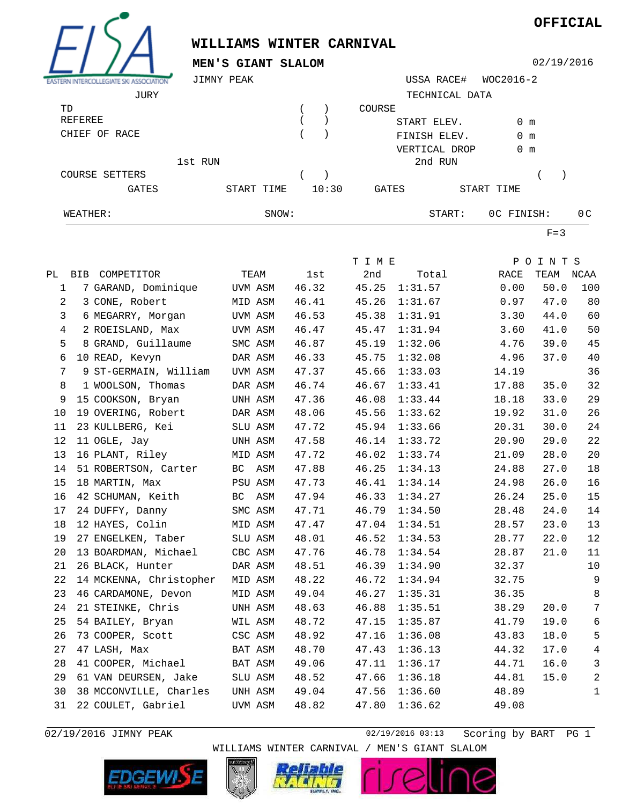

## **WILLIAMS WINTER CARNIVAL**

**MEN'S GIANT SLALOM**

02/19/2016

**OFFICIAL**

| <b>ASSOCIATION</b><br><b>ASTERN INTERCOLLEGIATE!</b> | JIMNY PEAK |            |       |       |              | USSA RACE#     | WOC2016-2     |                |
|------------------------------------------------------|------------|------------|-------|-------|--------------|----------------|---------------|----------------|
| JURY                                                 |            |            |       |       |              | TECHNICAL DATA |               |                |
| TD                                                   |            |            |       |       | COURSE       |                |               |                |
| REFEREE                                              |            |            |       |       |              | START ELEV.    | 0 m           |                |
| CHIEF OF RACE                                        |            |            |       |       |              | FINISH ELEV.   | $0 \text{ m}$ |                |
|                                                      |            |            |       |       |              | VERTICAL DROP  | $0 \text{ m}$ |                |
|                                                      | 1st RUN    |            |       |       |              | 2nd RUN        |               |                |
| COURSE SETTERS                                       |            |            |       |       |              |                |               |                |
| <b>GATES</b>                                         |            | START TIME |       | 10:30 | <b>GATES</b> |                | START TIME    |                |
| WEATHER:                                             |            |            | SNOW: |       |              | START:         | OC FINISH:    | 0 <sup>C</sup> |

 $F=3$ 

|                |                         |           |       | T I M E |         |       | POINTS |                 |
|----------------|-------------------------|-----------|-------|---------|---------|-------|--------|-----------------|
|                | PL BIB COMPETITOR       | TEAM      | lst   | 2nd     | Total   | RACE  | TEAM   | NCAA            |
| $\mathbf 1$    | 7 GARAND, Dominique     | UVM ASM   | 46.32 | 45.25   | 1:31.57 | 0.00  | 50.0   | 100             |
| $\overline{a}$ | 3 CONE, Robert          | MID ASM   | 46.41 | 45.26   | 1:31.67 | 0.97  | 47.0   | 80              |
| 3              | 6 MEGARRY, Morgan       | UVM ASM   | 46.53 | 45.38   | 1:31.91 | 3.30  | 44.0   | 60              |
| 4              | 2 ROEISLAND, Max        | UVM ASM   | 46.47 | 45.47   | 1:31.94 | 3.60  | 41.0   | 50              |
| 5              | 8 GRAND, Guillaume      | SMC ASM   | 46.87 | 45.19   | 1:32.06 | 4.76  | 39.0   | 45              |
| 6              | 10 READ, Kevyn          | DAR ASM   | 46.33 | 45.75   | 1:32.08 | 4.96  | 37.0   | 40              |
| 7              | 9 ST-GERMAIN, William   | UVM ASM   | 47.37 | 45.66   | 1:33.03 | 14.19 |        | 36              |
| 8              | 1 WOOLSON, Thomas       | DAR ASM   | 46.74 | 46.67   | 1:33.41 | 17.88 | 35.0   | 32              |
| 9              | 15 COOKSON, Bryan       | UNH ASM   | 47.36 | 46.08   | 1:33.44 | 18.18 | 33.0   | 29              |
| 10             | 19 OVERING, Robert      | DAR ASM   | 48.06 | 45.56   | 1:33.62 | 19.92 | 31.0   | 26              |
| 11             | 23 KULLBERG, Kei        | SLU ASM   | 47.72 | 45.94   | 1:33.66 | 20.31 | 30.0   | 24              |
| 12             | 11 OGLE, Jay            | UNH ASM   | 47.58 | 46.14   | 1:33.72 | 20.90 | 29.0   | 22              |
| 13             | 16 PLANT, Riley         | MID ASM   | 47.72 | 46.02   | 1:33.74 | 21.09 | 28.0   | 20              |
| 14             | 51 ROBERTSON, Carter    | ВC<br>ASM | 47.88 | 46.25   | 1:34.13 | 24.88 | 27.0   | 18              |
| 15             | 18 MARTIN, Max          | PSU ASM   | 47.73 | 46.41   | 1:34.14 | 24.98 | 26.0   | 16              |
| 16             | 42 SCHUMAN, Keith       | BC<br>ASM | 47.94 | 46.33   | 1:34.27 | 26.24 | 25.0   | 15              |
| 17             | 24 DUFFY, Danny         | SMC ASM   | 47.71 | 46.79   | 1:34.50 | 28.48 | 24.0   | 14              |
| 18             | 12 HAYES, Colin         | MID ASM   | 47.47 | 47.04   | 1:34.51 | 28.57 | 23.0   | 13              |
| 19             | 27 ENGELKEN, Taber      | SLU ASM   | 48.01 | 46.52   | 1:34.53 | 28.77 | 22.0   | 12              |
| 20             | 13 BOARDMAN, Michael    | CBC ASM   | 47.76 | 46.78   | 1:34.54 | 28.87 | 21.0   | 11              |
| 21             | 26 BLACK, Hunter        | DAR ASM   | 48.51 | 46.39   | 1:34.90 | 32.37 |        | 10              |
| 22             | 14 MCKENNA, Christopher | MID ASM   | 48.22 | 46.72   | 1:34.94 | 32.75 |        | 9               |
| 23             | 46 CARDAMONE, Devon     | MID ASM   | 49.04 | 46.27   | 1:35.31 | 36.35 |        | $\,8\,$         |
| 24             | 21 STEINKE, Chris       | UNH ASM   | 48.63 | 46.88   | 1:35.51 | 38.29 | 20.0   | $7\phantom{.0}$ |
| 25             | 54 BAILEY, Bryan        | WIL ASM   | 48.72 | 47.15   | 1:35.87 | 41.79 | 19.0   | 6               |
| 26             | 73 COOPER, Scott        | CSC ASM   | 48.92 | 47.16   | 1:36.08 | 43.83 | 18.0   | 5               |
| 27             | 47 LASH, Max            | BAT ASM   | 48.70 | 47.43   | 1:36.13 | 44.32 | 17.0   | $\overline{4}$  |
| 28             | 41 COOPER, Michael      | BAT ASM   | 49.06 | 47.11   | 1:36.17 | 44.71 | 16.0   | 3               |
| 29             | 61 VAN DEURSEN, Jake    | SLU ASM   | 48.52 | 47.66   | 1:36.18 | 44.81 | 15.0   | $\mathbf{2}$    |
| 30             | 38 MCCONVILLE, Charles  | UNH ASM   | 49.04 | 47.56   | 1:36.60 | 48.89 |        | $\mathbf{1}$    |
| 31             | 22 COULET, Gabriel      | UVM ASM   | 48.82 | 47.80   | 1:36.62 | 49.08 |        |                 |

02/19/2016 JIMNY PEAK 1 2010 12/19/2016 03:13 Scoring by BART PG 1